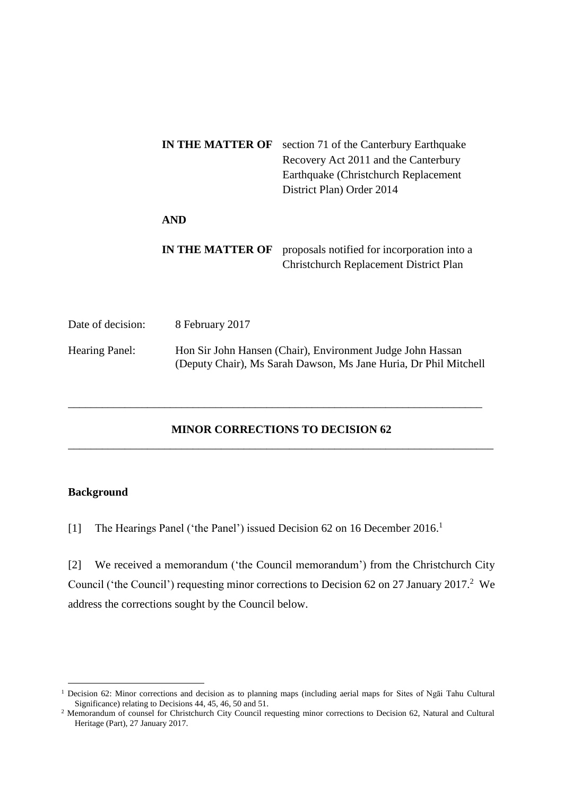|                       | <b>IN THE MATTER OF</b> | section 71 of the Canterbury Earthquake<br>Recovery Act 2011 and the Canterbury<br>Earthquake (Christchurch Replacement)<br>District Plan) Order 2014 |  |  |  |  |
|-----------------------|-------------------------|-------------------------------------------------------------------------------------------------------------------------------------------------------|--|--|--|--|
|                       | <b>AND</b>              |                                                                                                                                                       |  |  |  |  |
|                       | <b>IN THE MATTER OF</b> | proposals notified for incorporation into a<br><b>Christchurch Replacement District Plan</b>                                                          |  |  |  |  |
| Date of decision:     | 8 February 2017         |                                                                                                                                                       |  |  |  |  |
| <b>Hearing Panel:</b> |                         | Hon Sir John Hansen (Chair), Environment Judge John Hassan<br>(Deputy Chair), Ms Sarah Dawson, Ms Jane Huria, Dr Phil Mitchell                        |  |  |  |  |

# **MINOR CORRECTIONS TO DECISION 62** \_\_\_\_\_\_\_\_\_\_\_\_\_\_\_\_\_\_\_\_\_\_\_\_\_\_\_\_\_\_\_\_\_\_\_\_\_\_\_\_\_\_\_\_\_\_\_\_\_\_\_\_\_\_\_\_\_\_\_\_\_\_\_\_\_\_\_\_\_\_\_\_\_\_\_

\_\_\_\_\_\_\_\_\_\_\_\_\_\_\_\_\_\_\_\_\_\_\_\_\_\_\_\_\_\_\_\_\_\_\_\_\_\_\_\_\_\_\_\_\_\_\_\_\_\_\_\_\_\_\_\_\_\_\_\_\_\_\_\_\_\_\_\_\_\_\_\_\_

### **Background**

<u>.</u>

Date

[1] The Hearings Panel ('the Panel') issued Decision 62 on 16 December 2016.<sup>1</sup>

[2] We received a memorandum ('the Council memorandum') from the Christchurch City Council ('the Council') requesting minor corrections to Decision 62 on 27 January 2017.<sup>2</sup> We address the corrections sought by the Council below.

<sup>&</sup>lt;sup>1</sup> Decision 62: Minor corrections and decision as to planning maps (including aerial maps for Sites of Ngāi Tahu Cultural Significance) relating to Decisions 44, 45, 46, 50 and 51.

<sup>2</sup> Memorandum of counsel for Christchurch City Council requesting minor corrections to Decision 62, Natural and Cultural Heritage (Part), 27 January 2017.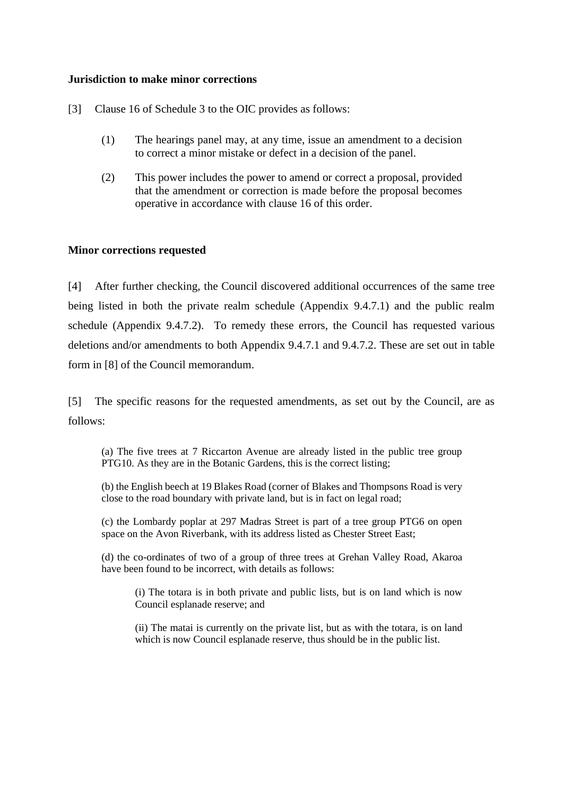### **Jurisdiction to make minor corrections**

[3] Clause 16 of Schedule 3 to the OIC provides as follows:

- (1) The hearings panel may, at any time, issue an amendment to a decision to correct a minor mistake or defect in a decision of the panel.
- (2) This power includes the power to amend or correct a proposal, provided that the amendment or correction is made before the proposal becomes operative in accordance with clause 16 of this order.

### **Minor corrections requested**

[4] After further checking, the Council discovered additional occurrences of the same tree being listed in both the private realm schedule (Appendix 9.4.7.1) and the public realm schedule (Appendix 9.4.7.2). To remedy these errors, the Council has requested various deletions and/or amendments to both Appendix 9.4.7.1 and 9.4.7.2. These are set out in table form in [8] of the Council memorandum.

[5] The specific reasons for the requested amendments, as set out by the Council, are as follows:

(a) The five trees at 7 Riccarton Avenue are already listed in the public tree group PTG10. As they are in the Botanic Gardens, this is the correct listing;

(b) the English beech at 19 Blakes Road (corner of Blakes and Thompsons Road is very close to the road boundary with private land, but is in fact on legal road;

(c) the Lombardy poplar at 297 Madras Street is part of a tree group PTG6 on open space on the Avon Riverbank, with its address listed as Chester Street East;

(d) the co-ordinates of two of a group of three trees at Grehan Valley Road, Akaroa have been found to be incorrect, with details as follows:

(i) The totara is in both private and public lists, but is on land which is now Council esplanade reserve; and

(ii) The matai is currently on the private list, but as with the totara, is on land which is now Council esplanade reserve, thus should be in the public list.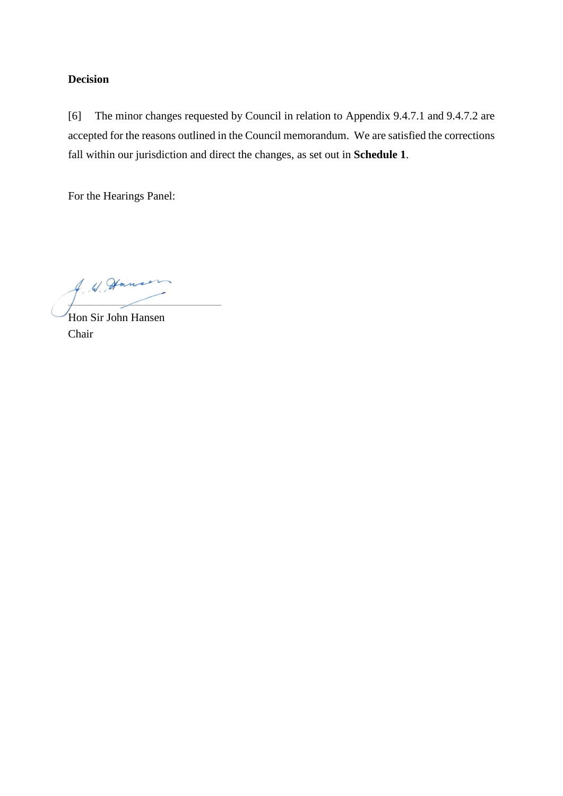## **Decision**

[6] The minor changes requested by Council in relation to Appendix 9.4.7.1 and 9.4.7.2 are accepted for the reasons outlined in the Council memorandum. We are satisfied the corrections fall within our jurisdiction and direct the changes, as set out in **Schedule 1**.

For the Hearings Panel:

A. W. However  $\frac{1}{2}$  and  $\frac{1}{2}$  and  $\frac{1}{2}$  and  $\frac{1}{2}$  and  $\frac{1}{2}$  and  $\frac{1}{2}$  and  $\frac{1}{2}$  and  $\frac{1}{2}$  and  $\frac{1}{2}$  and  $\frac{1}{2}$  and  $\frac{1}{2}$  and  $\frac{1}{2}$  and  $\frac{1}{2}$  and  $\frac{1}{2}$  and  $\frac{1}{2}$  and  $\frac{1}{2}$  a

Hon Sir John Hansen Chair